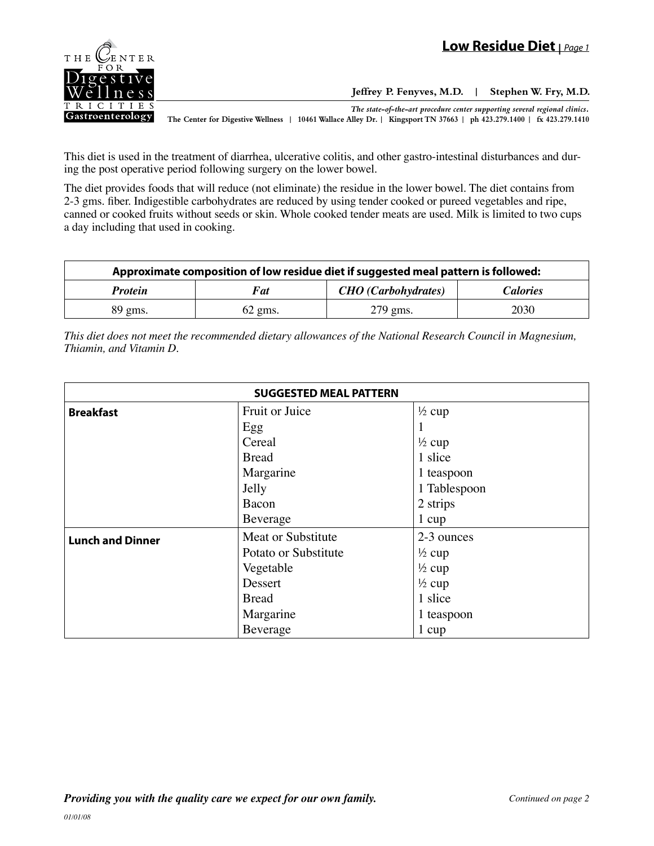

**Jeffrey P. Fenyves, M.D. | Stephen W. Fry, M.D.**

*The state-of-the-art procedure center supporting several regional clinics.*

**The Center for Digestive Wellness | 10461 Wallace Alley Dr. | Kingsport TN 37663 | ph 423.279.1400 | fx 423.279.1410**

This diet is used in the treatment of diarrhea, ulcerative colitis, and other gastro-intestinal disturbances and during the post operative period following surgery on the lower bowel.

The diet provides foods that will reduce (not eliminate) the residue in the lower bowel. The diet contains from 2-3 gms. fiber. Indigestible carbohydrates are reduced by using tender cooked or pureed vegetables and ripe, canned or cooked fruits without seeds or skin. Whole cooked tender meats are used. Milk is limited to two cups a day including that used in cooking.

| Approximate composition of low residue diet if suggested meal pattern is followed: |           |                            |                 |  |
|------------------------------------------------------------------------------------|-----------|----------------------------|-----------------|--|
| <b>Protein</b>                                                                     | Fat       | <b>CHO</b> (Carbohydrates) | <i>Calories</i> |  |
| $89 \text{ gms}.$                                                                  | $62$ gms. | $279$ gms.                 | 2030            |  |

*This diet does not meet the recommended dietary allowances of the National Research Council in Magnesium, Thiamin, and Vitamin D.*

| <b>SUGGESTED MEAL PATTERN</b> |                      |                   |  |  |
|-------------------------------|----------------------|-------------------|--|--|
| <b>Breakfast</b>              | Fruit or Juice       | $\frac{1}{2}$ cup |  |  |
|                               | Egg                  | 1                 |  |  |
|                               | Cereal               | $\frac{1}{2}$ cup |  |  |
|                               | <b>Bread</b>         | 1 slice           |  |  |
|                               | Margarine            | 1 teaspoon        |  |  |
|                               | Jelly                | 1 Tablespoon      |  |  |
|                               | Bacon                | 2 strips          |  |  |
|                               | Beverage             | $1 \text{ cup}$   |  |  |
| <b>Lunch and Dinner</b>       | Meat or Substitute   | 2-3 ounces        |  |  |
|                               | Potato or Substitute | $\frac{1}{2}$ cup |  |  |
|                               | Vegetable            | $\frac{1}{2}$ cup |  |  |
|                               | Dessert              | $\frac{1}{2}$ cup |  |  |
|                               | <b>Bread</b>         | 1 slice           |  |  |
|                               | Margarine            | 1 teaspoon        |  |  |
|                               | Beverage             | 1 cup             |  |  |